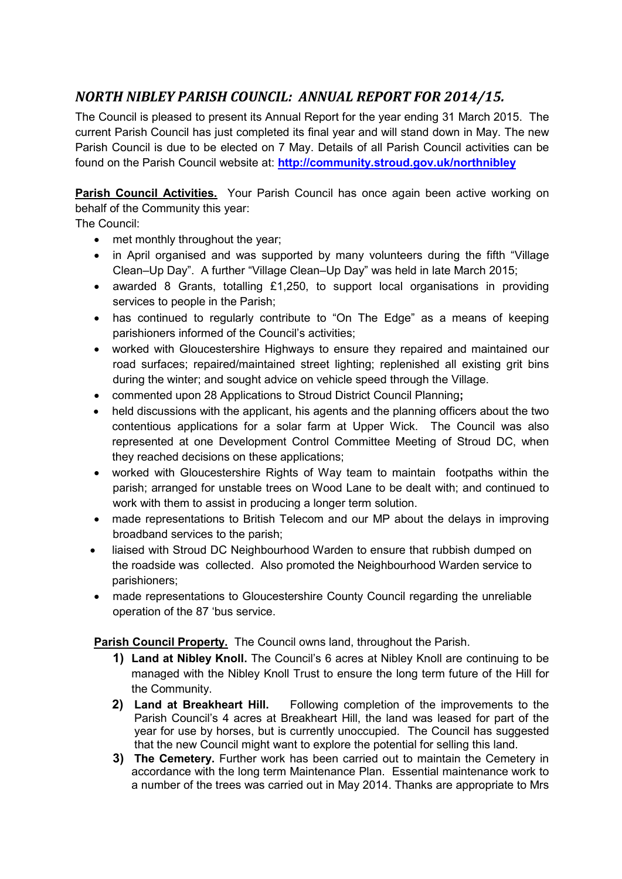## *NORTH NIBLEY PARISH COUNCIL: ANNUAL REPORT FOR 2014/15.*

The Council is pleased to present its Annual Report for the year ending 31 March 2015. The current Parish Council has just completed its final year and will stand down in May. The new Parish Council is due to be elected on 7 May. Details of all Parish Council activities can be found on the Parish Council website at: **http://community.stroud.gov.uk/northnibley**

**Parish Council Activities.** Your Parish Council has once again been active working on behalf of the Community this year:

The Council:

- met monthly throughout the year;
- in April organised and was supported by many volunteers during the fifth "Village Clean–Up Day". A further "Village Clean–Up Day" was held in late March 2015;
- awarded 8 Grants, totalling £1,250, to support local organisations in providing services to people in the Parish;
- has continued to regularly contribute to "On The Edge" as a means of keeping parishioners informed of the Council's activities;
- worked with Gloucestershire Highways to ensure they repaired and maintained our road surfaces; repaired/maintained street lighting; replenished all existing grit bins during the winter; and sought advice on vehicle speed through the Village.
- commented upon 28 Applications to Stroud District Council Planning**;**
- held discussions with the applicant, his agents and the planning officers about the two contentious applications for a solar farm at Upper Wick. The Council was also represented at one Development Control Committee Meeting of Stroud DC, when they reached decisions on these applications;
- worked with Gloucestershire Rights of Way team to maintain footpaths within the parish; arranged for unstable trees on Wood Lane to be dealt with; and continued to work with them to assist in producing a longer term solution.
- made representations to British Telecom and our MP about the delays in improving broadband services to the parish;
- liaised with Stroud DC Neighbourhood Warden to ensure that rubbish dumped on the roadside was collected. Also promoted the Neighbourhood Warden service to parishioners;
- made representations to Gloucestershire County Council regarding the unreliable operation of the 87 'bus service.

**Parish Council Property.** The Council owns land, throughout the Parish.

- **1) Land at Nibley Knoll.** The Council's 6 acres at Nibley Knoll are continuing to be managed with the Nibley Knoll Trust to ensure the long term future of the Hill for the Community.
- **2) Land at Breakheart Hill.** Following completion of the improvements to the Parish Council's 4 acres at Breakheart Hill, the land was leased for part of the year for use by horses, but is currently unoccupied. The Council has suggested that the new Council might want to explore the potential for selling this land.
- **3) The Cemetery.** Further work has been carried out to maintain the Cemetery in accordance with the long term Maintenance Plan. Essential maintenance work to a number of the trees was carried out in May 2014. Thanks are appropriate to Mrs